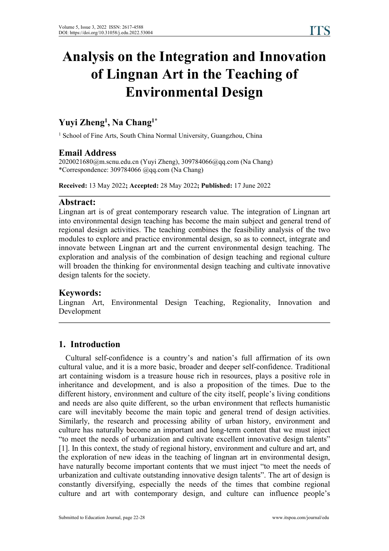# **Analysis on the Integration and Innovation of Lingnan Art in the Teaching of Environmental Design**

# **Yuyi Zheng 1 , Na Chang 1\***

<sup>1</sup> School of Fine Arts, South China Normal University, Guangzhou, China

## **Email Address**

2020021680@m.scnu.edu.cn (Yuyi Zheng), 309784066@qq.com (Na Chang) \*Correspondence: 309784066 @qq.com (Na Chang)

**Received:** 13 May 2022**; Accepted:** 28 May 2022**; Published:** 17 June 2022

#### **Abstract:**

Lingnan art is of great contemporary research value. The integration of Lingnan art into environmental design teaching has become the main subject and general trend of regional design activities. The teaching combines the feasibility analysis of the two modules to explore and practice environmental design, so as to connect, integrate and innovate between Lingnan art and the current environmental design teaching. The exploration and analysis of the combination of design teaching and regional culture will broaden the thinking for environmental design teaching and cultivate innovative design talents for the society.

## **Keywords:**

Lingnan Art, Environmental Design Teaching, Regionality, Innovation and Development

## **1. Introduction**

Cultural self-confidence is a country's and nation's full affirmation of its own cultural value, and it is a more basic, broader and deeper self-confidence. Traditional art containing wisdom is a treasure house rich in resources, plays a positive role in inheritance and development, and is also a proposition of the times. Due to the different history, environment and culture of the city itself, people's living conditions and needs are also quite different, so the urban environment that reflects humanistic care will inevitably become the main topic and general trend of design activities. Similarly, the research and processing ability of urban history, environment and culture has naturally become an important and long-term content that we must inject "to meet the needs of urbanization and cultivate excellent innovative design talents" [1]. In this context, the study of regional history, environment and culture and art, and the exploration of new ideas in the teaching of lingnan art in environmental design, have naturally become important contents that we must inject "to meet the needs of urbanization and cultivate outstanding innovative design talents". The art of design is constantly diversifying, especially the needs of the times that combine regional culture and art with contemporary design, and culture can influence people's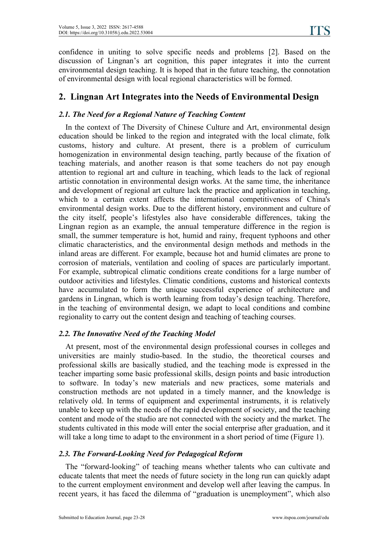confidence in uniting to solve specific needs and problems [2]. Based on the discussion of Lingnan's art cognition, this paper integrates it into the current environmental design teaching. It is hoped that in the future teaching, the connotation of environmental design with local regional characteristics will be formed.

# **2. Lingnan Art Integrates into the Needs ofEnvironmental Design**

## *2.1. The Need for a Regional Nature of Teaching Content*

In the context of The Diversity of Chinese Culture and Art, environmental design education should be linked to the region and integrated with the local climate, folk customs, history and culture. At present, there is a problem of curriculum homogenization in environmental design teaching, partly because of the fixation of teaching materials, and another reason is that some teachers do not pay enough attention to regional art and culture in teaching, which leads to the lack of regional artistic connotation in environmental design works. At the same time, the inheritance and development of regional art culture lack the practice and application in teaching, which to a certain extent affects the international competitiveness of China's environmental design works. Due to the different history, environment and culture of the city itself, people's lifestyles also have considerable differences, taking the Lingnan region as an example, the annual temperature difference in the region is small, the summer temperature is hot, humid and rainy, frequent typhoons and other climatic characteristics, and the environmental design methods and methods in the inland areas are different. For example, because hot and humid climates are prone to corrosion of materials, ventilation and cooling of spaces are particularly important. For example, subtropical climatic conditions create conditions for a large number of outdoor activities and lifestyles. Climatic conditions, customs and historical contexts have accumulated to form the unique successful experience of architecture and gardens in Lingnan, which is worth learning from today's design teaching. Therefore, in the teaching of environmental design, we adapt to local conditions and combine regionality to carry out the content design and teaching of teaching courses.

#### *2.2. The Innovative Need of the Teaching Model*

At present, most of the environmental design professional courses in colleges and universities are mainly studio-based. In the studio, the theoretical courses and professional skills are basically studied, and the teaching mode is expressed in the teacher imparting some basic professional skills, design points and basic introduction to software. In today's new materials and new practices, some materials and construction methods are not updated in a timely manner, and the knowledge is relatively old. In terms of equipment and experimental instruments, it is relatively unable to keep up with the needs of the rapid development of society, and the teaching content and mode of the studio are not connected with the society and the market. The students cultivated in this mode will enter the social enterprise after graduation, and it will take a long time to adapt to the environment in a short period of time (Figure 1).

## *2.3. The Forward-Looking Need for Pedagogical Reform*

The "forward-looking" of teaching means whether talents who can cultivate and educate talents that meet the needs of future society in the long run can quickly adapt to the current employment environment and develop well after leaving the campus. In recent years, it has faced the dilemma of "graduation is unemployment", which also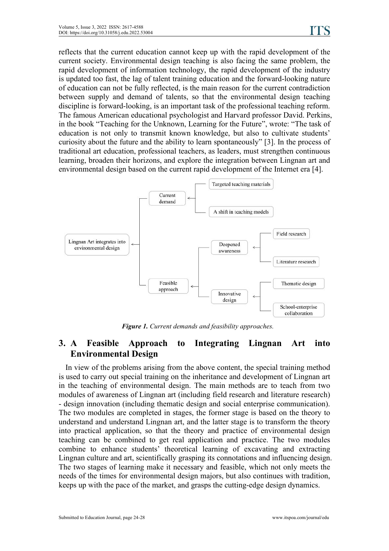reflects that the current education cannot keep up with the rapid development of the current society. Environmental design teaching is also facing the same problem, the rapid development of information technology, the rapid development of the industry is updated too fast, the lag of talent training education and the forward-looking nature of education can not be fully reflected, is the main reason for the current contradiction between supply and demand of talents, so that the environmental design teaching discipline is forward-looking, is an important task of the professional teaching reform. The famous American educational psychologist and Harvard professor David. Perkins, in the book "Teaching for the Unknown, Learning for the Future", wrote: "The task of education is not only to transmit known knowledge, but also to cultivate students' curiosity about the future and the ability to learn spontaneously" [3]. In the process of traditional art education, professional teachers, as leaders, must strengthen continuous learning, broaden their horizons, and explore the integration between Lingnan art and environmental design based on the current rapid development of the Internet era [4].



*Figure 1. Current demands and feasibility approaches.*

# **3. A Feasible Approach to Integrating Lingnan Art into Environmental Design**

In view of the problems arising from the above content, the special training method is used to carry out special training on the inheritance and development of Lingnan art in the teaching of environmental design. The main methods are to teach from two modules of awareness of Lingnan art (including field research and literature research) - design innovation (including thematic design and social enterprise communication). The two modules are completed in stages, the former stage isbased on the theory to understand and understand Lingnan art, and the latter stage is to transform the theory into practical application, so that the theory and practice of environmental design teaching can be combined to get real application and practice. The two modules combine to enhance students' theoretical learning of excavating and extracting Lingnan culture and art, scientifically grasping its connotations and influencing design. The two stages of learning make it necessary and feasible, which not only meets the needs of the times for environmental design majors, but also continues with tradition, keeps up with the pace of the market, and grasps the cutting-edge design dynamics.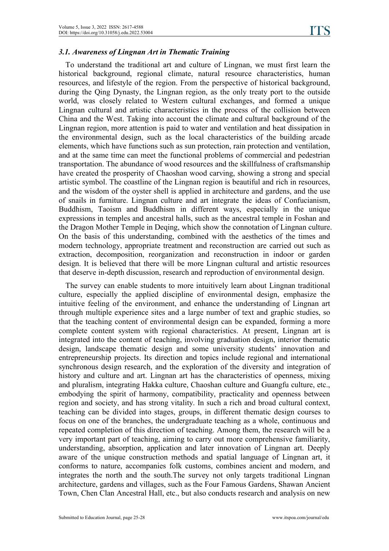#### *3.1. Awareness ofLingnan Art in Thematic Training*

To understand the traditional art and culture of Lingnan, we must first learn the historical background, regional climate, natural resource characteristics, human resources, and lifestyle of the region. From the perspective of historical background, during the Qing Dynasty, the Lingnan region, as the only treaty port to the outside world, was closely related to Western cultural exchanges, and formed a unique Lingnan cultural and artistic characteristics in the process of the collision between China and the West. Taking into account the climate and cultural background of the Lingnan region, more attention is paid to water and ventilation and heat dissipation in the environmental design, such as the local characteristics of the building arcade elements, which have functions such as sun protection, rain protection and ventilation, and at the same time can meet the functional problems of commercial and pedestrian transportation. The abundance of wood resources and the skillfulness of craftsmanship have created the prosperity of Chaoshan wood carving, showing a strong and special artistic symbol. The coastline of the Lingnan region is beautiful and rich in resources, and the wisdom of the oyster shell is applied in architecture and gardens, and the use of snails in furniture. Lingnan culture and art integrate the ideas of Confucianism, Buddhism, Taoism and Buddhism in different ways, especially in the unique expressions in temples and ancestral halls, such as the ancestral temple in Foshan and the Dragon Mother Temple in Deqing, which show the connotation of Lingnan culture. On the basis of this understanding, combined with the aesthetics of the times and modern technology, appropriate treatment and reconstruction are carried out such as extraction, decomposition, reorganization and reconstruction in indoor or garden design. It is believed that there will be more Lingnan cultural and artistic resources that deserve in-depth discussion, research and reproduction of environmental design.

The survey can enable students to more intuitively learn about Lingnan traditional culture, especially the applied discipline of environmental design, emphasize the intuitive feeling of the environment, and enhance the understanding of Lingnan art through multiple experience sites and a large number of text and graphic studies, so that the teaching content of environmental design can be expanded, forming a more complete content system with regional characteristics. At present, Lingnan art is integrated into the content of teaching, involving graduation design, interior thematic design, landscape thematic design and some university students' innovation and entrepreneurship projects. Its direction and topics include regional and international synchronous design research, and the exploration of the diversity and integration of history and culture and art. Lingnan art has the characteristics of openness, mixing and pluralism, integrating Hakka culture, Chaoshan culture and Guangfu culture, etc., embodying the spirit of harmony, compatibility, practicality and openness between region and society, and has strong vitality. In such a rich and broad cultural context, teaching can be divided into stages, groups, in different thematic design courses to focus on one of the branches, the undergraduate teaching as a whole, continuous and repeated completion of this direction of teaching. Among them, the research will be a very important part of teaching, aiming to carry out more comprehensive familiarity, understanding, absorption, application and later innovation of Lingnan art. Deeply aware of the unique construction methods and spatial language of Lingnan art, it conforms to nature, accompanies folk customs, combines ancient and modern, and integrates the north and the south.The survey not only targets traditional Lingnan architecture, gardens and villages, such as the Four Famous Gardens, Shawan Ancient Town, Chen Clan Ancestral Hall, etc., but also conducts research and analysis on new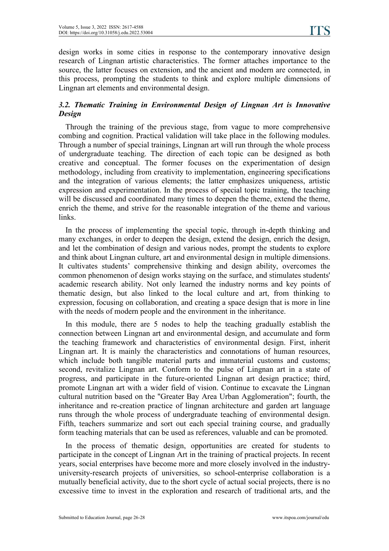design works in some cities in response to the contemporary innovative design research of Lingnan artistic characteristics. The former attaches importance to the source, the latter focuses on extension, and the ancient and modern are connected, in this process, prompting the students to think and explore multiple dimensions of Lingnan art elements and environmental design.

#### *3.2. Thematic Training in Environmental Design of Lingnan Art is Innovative Design*

Through the training of the previous stage, from vague to more comprehensive combing and cognition. Practical validation will take place in the following modules. Through a number of special trainings, Lingnan art will run through the whole process of undergraduate teaching. The direction of each topic can be designed as both creative and conceptual. The former focuses on the experimentation of design methodology, including from creativity to implementation, engineering specifications and the integration of various elements; the latter emphasizes uniqueness, artistic expression and experimentation. In the process of special topic training, the teaching will be discussed and coordinated many times to deepen the theme, extend the theme, enrich the theme, and strive for the reasonable integration of the theme and various links.

In the process of implementing the special topic, through in-depth thinking and many exchanges, in order to deepen the design, extend the design, enrich the design, and let the combination of design and various nodes, prompt the students to explore and think about Lingnan culture, art and environmental design in multiple dimensions. It cultivates students' comprehensive thinking and design ability, overcomes the common phenomenon of design works staying on the surface, and stimulates students' academic research ability. Not only learned the industry norms and key points of thematic design, but also linked to the local culture and art, from thinking to expression, focusing on collaboration, and creating a space design that is more in line with the needs of modern people and the environment in the inheritance.

In this module, there are 5 nodes to help the teaching gradually establish the connection between Lingnan art and environmental design, and accumulate and form the teaching framework and characteristics of environmental design. First, inherit Lingnan art. It is mainly the characteristics and connotations of human resources, which include both tangible material parts and immaterial customs and customs; second, revitalize Lingnan art. Conform to the pulse of Lingnan art in a state of progress, and participate in the future-oriented Lingnan art design practice; third, promote Lingnan art with a wider field of vision. Continue to excavate the Lingnan cultural nutrition based on the "Greater Bay Area Urban Agglomeration"; fourth, the inheritance and re-creation practice of lingnan architecture and garden art language runs through the whole process of undergraduate teaching of environmental design. Fifth, teachers summarize and sort out each special training course, and gradually form teaching materials that can be used as references, valuable and can be promoted.

In the process of thematic design, opportunities are created for students to participate in the concept of Lingnan Art in the training of practical projects. In recent years, social enterprises have become more and more closely involved in the industry university-research projects of universities, so school-enterprise collaboration is a mutually beneficial activity, due to the short cycle of actual social projects, there is no excessive time to invest in the exploration and research of traditional arts, and the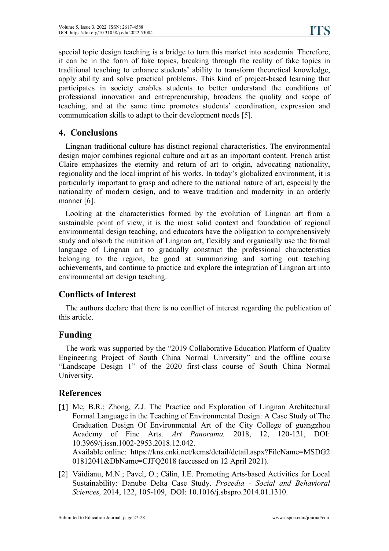special topic design teaching is a bridge to turn this market into academia. Therefore, it can be in the form of fake topics, breaking through the reality of fake topics in traditional teaching to enhance students' ability to transform theoretical knowledge, apply ability and solve practical problems. This kind of project-based learning that participates in society enables students to better understand the conditions of professional innovation and entrepreneurship, broadens the quality and scope of teaching, and at the same time promotes students' coordination, expression and communication skills to adapt to their development needs [5].

## **4. Conclusions**

Lingnan traditional culture has distinct regional characteristics. The environmental design major combines regional culture and art as an important content. French artist Claire emphasizes the eternity and return of art to origin, advocating nationality, regionality and the local imprint of his works. In today's globalized environment, it is particularly important to grasp and adhere to the national nature of art, especially the nationality of modern design, and to weave tradition and modernity in an orderly manner [6].

Looking at the characteristics formed by the evolution of Lingnan art from a sustainable point of view, it is the most solid context and foundation of regional environmental design teaching, and educators have the obligation to comprehensively study and absorb the nutrition of Lingnan art, flexibly and organically use the formal language of Lingnan art to gradually construct the professional characteristics belonging to the region, be good at summarizing and sorting out teaching achievements, and continue to practice and explore the integration of Lingnan art into environmental art design teaching.

## **Conflicts of Interest**

The authors declare that there is no conflict of interest regarding the publication of this article.

## **Funding**

The work was supported by the "2019 Collaborative Education Platform of Quality Engineering Project of South China Normal University" and the offline course "Landscape Design 1" of the 2020 first-class course of South China Normal University.

## **References**

[1] Me, B.R.; Zhong, Z.J. The Practice and Exploration of Lingnan Architectural Formal Language in the Teaching of Environmental Design: A Case Study of The Graduation Design Of Environmental Art of the City College of guangzhou Academy of Fine Arts. *Art Panorama,* 2018, 12, 120-121, DOI: 10.3969/j.issn.1002-2953.2018.12.042.

Available online: https://kns.cnki.net/kcms/detail/detail.aspx?FileName=MSDG2 01812041&DbName=CJFQ2018 (accessed on 12 April 2021).

[2] Văidianu, M.N.; Pavel, O.; Călin, I.E. Promoting Arts-based Activities for Local Sustainability: Danube Delta Case Study. *Procedia - Social and Behavioral Sciences,* 2014, 122, 105-109, DOI: 10.1016/j.sbspro.2014.01.1310.